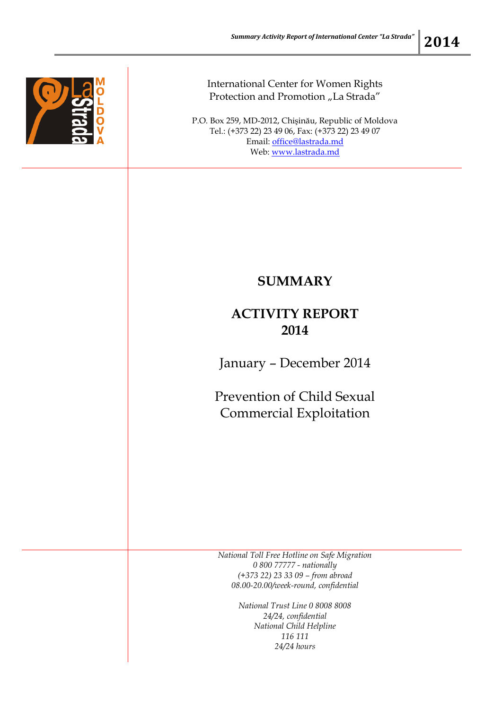

International Center for Women Rights Protection and Promotion "La Strada"

P.O. Box 259, MD-2012, Chişinău, Republic of Moldova Tel.: (+373 22) 23 49 06, Fax: (+373 22) 23 49 07 Email: [office@lastrada.md](mailto:office@lastrada.md) Web: [www.lastrada.md](http://www.lastrada.md/)

## **SUMMARY**

## **ACTIVITY REPORT 2014**

January – December 2014

Prevention of Child Sexual Commercial Exploitation

*National Toll Free Hotline on Safe Migration 0 800 77777 - nationally (+373 22) 23 33 09 – from abroad 08.00-20.00/week-round, confidential*

> *National Trust Line 0 8008 8008 24/24, confidential National Child Helpline 116 111 24/24 hours*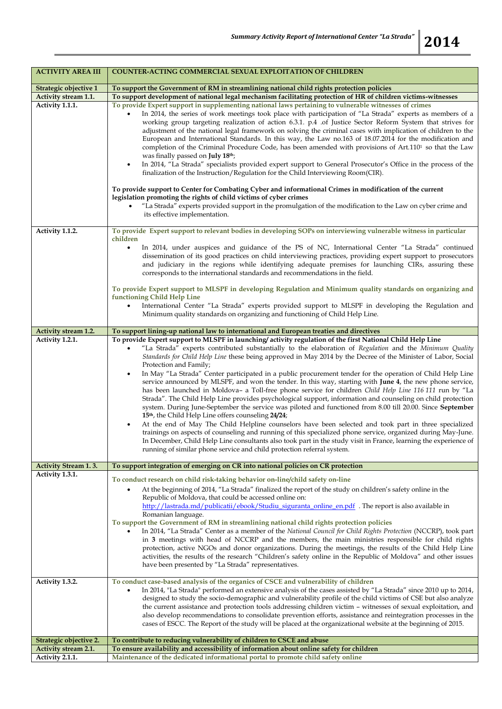| <b>ACTIVITY AREA III</b>           | <b>COUNTER-ACTING COMMERCIAL SEXUAL EXPLOITATION OF CHILDREN</b>                                                                                                                                                                                                                                                                                                                                                                                                                                                                                                                                                                                                                                                                                                                                                                                                                                                                                                                                                                                                                                                                                                                                                                                                                                                                                                                                                                  |
|------------------------------------|-----------------------------------------------------------------------------------------------------------------------------------------------------------------------------------------------------------------------------------------------------------------------------------------------------------------------------------------------------------------------------------------------------------------------------------------------------------------------------------------------------------------------------------------------------------------------------------------------------------------------------------------------------------------------------------------------------------------------------------------------------------------------------------------------------------------------------------------------------------------------------------------------------------------------------------------------------------------------------------------------------------------------------------------------------------------------------------------------------------------------------------------------------------------------------------------------------------------------------------------------------------------------------------------------------------------------------------------------------------------------------------------------------------------------------------|
| Strategic objective 1              | To support the Government of RM in streamlining national child rights protection policies                                                                                                                                                                                                                                                                                                                                                                                                                                                                                                                                                                                                                                                                                                                                                                                                                                                                                                                                                                                                                                                                                                                                                                                                                                                                                                                                         |
| Activity stream 1.1.               | To support development of national legal mechanism facilitating protection of HR of children victims-witnesses                                                                                                                                                                                                                                                                                                                                                                                                                                                                                                                                                                                                                                                                                                                                                                                                                                                                                                                                                                                                                                                                                                                                                                                                                                                                                                                    |
| Activity 1.1.1.                    | To provide Expert support in supplementing national laws pertaining to vulnerable witnesses of crimes<br>In 2014, the series of work meetings took place with participation of "La Strada" experts as members of a<br>working group targeting realization of action 6.3.1. p.4 .of Justice Sector Reform System that strives for<br>adjustment of the national legal framework on solving the criminal cases with implication of children to the<br>European and International Standards. In this way, the Law no.163 of 18.07.2014 for the modification and<br>completion of the Criminal Procedure Code, has been amended with provisions of Art.110 <sup>1</sup> so that the Law<br>was finally passed on <b>July 18th</b> ;<br>In 2014, "La Strada" specialists provided expert support to General Prosecutor's Office in the process of the<br>finalization of the Instruction/Regulation for the Child Interviewing Room(CIR).<br>To provide support to Center for Combating Cyber and informational Crimes in modification of the current<br>legislation promoting the rights of child victims of cyber crimes<br>"La Strada" experts provided support in the promulgation of the modification to the Law on cyber crime and<br>its effective implementation.                                                                                                                                                              |
|                                    |                                                                                                                                                                                                                                                                                                                                                                                                                                                                                                                                                                                                                                                                                                                                                                                                                                                                                                                                                                                                                                                                                                                                                                                                                                                                                                                                                                                                                                   |
| Activity 1.1.2.                    | To provide Expert support to relevant bodies in developing SOPs on interviewing vulnerable witness in particular                                                                                                                                                                                                                                                                                                                                                                                                                                                                                                                                                                                                                                                                                                                                                                                                                                                                                                                                                                                                                                                                                                                                                                                                                                                                                                                  |
|                                    | children<br>In 2014, under auspices and guidance of the PS of NC, International Center "La Strada" continued<br>$\bullet$<br>dissemination of its good practices on child interviewing practices, providing expert support to prosecutors<br>and judiciary in the regions while identifying adequate premises for launching CIRs, assuring these<br>corresponds to the international standards and recommendations in the field.<br>To provide Expert support to MLSPF in developing Regulation and Minimum quality standards on organizing and<br>functioning Child Help Line<br>International Center "La Strada" experts provided support to MLSPF in developing the Regulation and<br>Minimum quality standards on organizing and functioning of Child Help Line.                                                                                                                                                                                                                                                                                                                                                                                                                                                                                                                                                                                                                                                              |
| Activity stream 1.2.               | To support lining-up national law to international and European treaties and directives                                                                                                                                                                                                                                                                                                                                                                                                                                                                                                                                                                                                                                                                                                                                                                                                                                                                                                                                                                                                                                                                                                                                                                                                                                                                                                                                           |
| Activity 1.2.1.                    | To provide Expert support to MLSPF in launching/ activity regulation of the first National Child Help Line<br>"La Strada" experts contributed substantially to the elaboration of Regulation and the Minimum Quality<br>Standards for Child Help Line these being approved in May 2014 by the Decree of the Minister of Labor, Social<br>Protection and Family;<br>In May "La Strada" Center participated in a public procurement tender for the operation of Child Help Line<br>٠<br>service announced by MLSPF, and won the tender. In this way, starting with June 4, the new phone service,<br>has been launched in Moldova- a Toll-free phone service for children Child Help Line 116 111 run by "La<br>Strada". The Child Help Line provides psychological support, information and counseling on child protection<br>system. During June-September the service was piloted and functioned from 8.00 till 20.00. Since September<br>15 <sup>th</sup> , the Child Help Line offers counseling 24/24;<br>At the end of May The Child Helpline counselors have been selected and took part in three specialized<br>trainings on aspects of counseling and running of this specialized phone service, organized during May-June.<br>In December, Child Help Line consultants also took part in the study visit in France, learning the experience of<br>running of similar phone service and child protection referral system. |
| <b>Activity Stream 1.3.</b>        | To support integration of emerging on CR into national policies on CR protection                                                                                                                                                                                                                                                                                                                                                                                                                                                                                                                                                                                                                                                                                                                                                                                                                                                                                                                                                                                                                                                                                                                                                                                                                                                                                                                                                  |
| Activity 1.3.1.<br>Activity 1.3.2. | To conduct research on child risk-taking behavior on-line/child safety on-line<br>At the beginning of 2014, "La Strada" finalized the report of the study on children's safety online in the<br>Republic of Moldova, that could be accessed online on:<br>http://lastrada.md/publicatii/ebook/Studiu_siguranta_online_en.pdf. The report is also available in<br>Romanian language.<br>To support the Government of RM in streamlining national child rights protection policies<br>In 2014, "La Strada" Center as a member of the National Council for Child Rights Protection (NCCRP), took part<br>in 3 meetings with head of NCCRP and the members, the main ministries responsible for child rights<br>protection, active NGOs and donor organizations. During the meetings, the results of the Child Help Line<br>activities, the results of the research "Children's safety online in the Republic of Moldova" and other issues<br>have been presented by "La Strada" representatives.<br>To conduct case-based analysis of the organics of CSCE and vulnerability of children                                                                                                                                                                                                                                                                                                                                             |
|                                    | In 2014, "La Strada" performed an extensive analysis of the cases assisted by "La Strada" since 2010 up to 2014,<br>designed to study the socio-demographic and vulnerability profile of the child victims of CSE but also analyze<br>the current assistance and protection tools addressing children victim – witnesses of sexual exploitation, and<br>also develop recommendations to consolidate prevention efforts, assistance and reintegration processes in the<br>cases of ESCC. The Report of the study will be placed at the organizational website at the beginning of 2015.                                                                                                                                                                                                                                                                                                                                                                                                                                                                                                                                                                                                                                                                                                                                                                                                                                            |
| Strategic objective 2.             | To contribute to reducing vulnerability of children to CSCE and abuse                                                                                                                                                                                                                                                                                                                                                                                                                                                                                                                                                                                                                                                                                                                                                                                                                                                                                                                                                                                                                                                                                                                                                                                                                                                                                                                                                             |
| Activity stream 2.1.               | To ensure availability and accessibility of information about online safety for children                                                                                                                                                                                                                                                                                                                                                                                                                                                                                                                                                                                                                                                                                                                                                                                                                                                                                                                                                                                                                                                                                                                                                                                                                                                                                                                                          |
| Activity 2.1.1.                    | Maintenance of the dedicated informational portal to promote child safety online                                                                                                                                                                                                                                                                                                                                                                                                                                                                                                                                                                                                                                                                                                                                                                                                                                                                                                                                                                                                                                                                                                                                                                                                                                                                                                                                                  |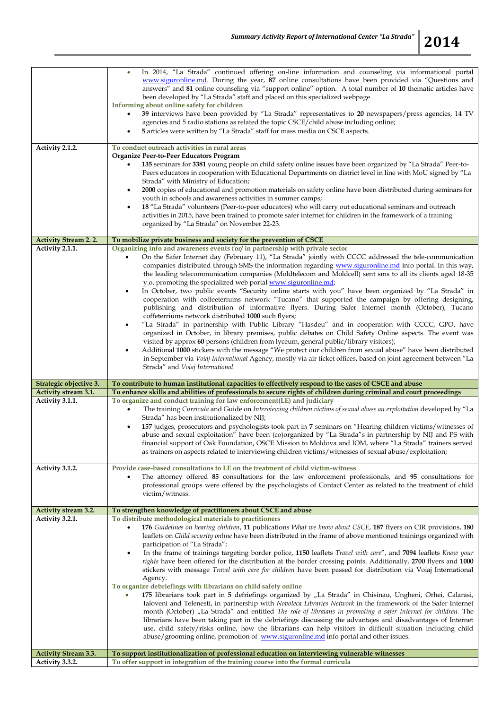|--|

| Activity 2.1.2.                                | In 2014, "La Strada" continued offering on-line information and counseling via informational portal<br>www.siguronline.md. During the year, 87 online consultations have been provided via "Questions and<br>answers" and 81 online counseling via "support online" option. A total number of 10 thematic articles have<br>been developed by "La Strada" staff and placed on this specialized webpage.<br>Informing about online safety for children<br>39 interviews have been provided by "La Strada" representatives to 20 newspapers/press agencies, 14 TV<br>٠<br>agencies and 5 radio stations as related the topic CSCE/child abuse including online;<br>5 articles were written by "La Strada" staff for mass media on CSCE aspects.<br>To conduct outreach activities in rural areas<br>Organize Peer-to-Peer Educators Program<br>135 seminars for 3381 young people on child safety online issues have been organized by "La Strada" Peer-to-<br>٠<br>Peers educators in cooperation with Educational Departments on district level in line with MoU signed by "La<br>Strada" with Ministry of Education;<br>2000 copies of educational and promotion materials on safety online have been distributed during seminars for<br>٠<br>youth in schools and awareness activities in summer camps;<br>18 "La Strada" volunteers (Peer-to-peer educators) who will carry out educational seminars and outreach<br>activities in 2015, have been trained to promote safer internet for children in the framework of a training<br>organized by "La Strada" on November 22-23. |
|------------------------------------------------|-----------------------------------------------------------------------------------------------------------------------------------------------------------------------------------------------------------------------------------------------------------------------------------------------------------------------------------------------------------------------------------------------------------------------------------------------------------------------------------------------------------------------------------------------------------------------------------------------------------------------------------------------------------------------------------------------------------------------------------------------------------------------------------------------------------------------------------------------------------------------------------------------------------------------------------------------------------------------------------------------------------------------------------------------------------------------------------------------------------------------------------------------------------------------------------------------------------------------------------------------------------------------------------------------------------------------------------------------------------------------------------------------------------------------------------------------------------------------------------------------------------------------------------------------------------------------------------|
|                                                |                                                                                                                                                                                                                                                                                                                                                                                                                                                                                                                                                                                                                                                                                                                                                                                                                                                                                                                                                                                                                                                                                                                                                                                                                                                                                                                                                                                                                                                                                                                                                                                   |
| <b>Activity Stream 2.2.</b>                    | To mobilize private business and society for the prevention of CSCE                                                                                                                                                                                                                                                                                                                                                                                                                                                                                                                                                                                                                                                                                                                                                                                                                                                                                                                                                                                                                                                                                                                                                                                                                                                                                                                                                                                                                                                                                                               |
| Activity 2.1.1.                                | Organizing info and awareness events for/ in partnership with private sector<br>On the Safer Internet day (February 11), "La Strada" jointly with CCCC addressed the tele-communication<br>٠<br>companies distributed through SMS the information regarding www.siguronline.md info portal. In this way,<br>the leading telecommunication companies (Moldtelecom and Moldcell) sent sms to all its clients aged 18-35<br>y.o. promoting the specialized web portal www.siguronline.md;<br>In October, two public events "Security online starts with you" have been organized by "La Strada" in<br>$\bullet$<br>cooperation with coffeeteriums network "Tucano" that supported the campaign by offering designing,<br>publishing and distribution of informative flyers. During Safer Internet month (October), Tucano<br>coffeterriums network distributed 1000 such flyers;<br>"La Strada" in partnership with Public Library "Hasdeu" and in cooperation with CCCC, GPO, have<br>$\bullet$<br>organized in October, in library premises, public debates on Child Safety Online aspects. The event was<br>visited by approx 60 persons (children from lyceum, general public/library visitors);<br>Additional 1000 stickers with the message "We protect our children from sexual abuse" have been distributed<br>$\bullet$<br>in September via Voiaj International Agency, mostly via air ticket offices, based on joint agreement between "La<br>Strada" and Voiaj International.                                                                                             |
| Strategic objective 3.                         | To contribute to human institutional capacities to effectively respond to the cases of CSCE and abuse                                                                                                                                                                                                                                                                                                                                                                                                                                                                                                                                                                                                                                                                                                                                                                                                                                                                                                                                                                                                                                                                                                                                                                                                                                                                                                                                                                                                                                                                             |
| Activity stream 3.1.                           | To enhance skills and abilities of professionals to secure rights of children during criminal and court proceedings                                                                                                                                                                                                                                                                                                                                                                                                                                                                                                                                                                                                                                                                                                                                                                                                                                                                                                                                                                                                                                                                                                                                                                                                                                                                                                                                                                                                                                                               |
|                                                |                                                                                                                                                                                                                                                                                                                                                                                                                                                                                                                                                                                                                                                                                                                                                                                                                                                                                                                                                                                                                                                                                                                                                                                                                                                                                                                                                                                                                                                                                                                                                                                   |
| Activity 3.1.1.                                | To organize and conduct training for law enforcement(LE) and judiciary<br>The training Curricula and Guide on Interviewing children victims of sexual abuse an exploitation developed by "La<br>Strada" has been institutionalized by NIJ;<br>157 judges, prosecutors and psychologists took part in 7 seminars on "Hearing children victims/witnesses of<br>$\bullet$<br>abuse and sexual exploitation" have been (co)organized by "La Strada"s in partnership by NIJ and PS with<br>financial support of Oak Foundation, OSCE Mission to Moldova and IOM, where "La Strada" trainers served<br>as trainers on aspects related to interviewing children victims/witnesses of sexual abuse/exploitation;                                                                                                                                                                                                                                                                                                                                                                                                                                                                                                                                                                                                                                                                                                                                                                                                                                                                          |
| Activity 3.1.2.                                | Provide case-based consultations to LE on the treatment of child victim-witness<br>The attorney offered 85 consultations for the law enforcement professionals, and 95 consultations for<br>٠<br>professional groups were offered by the psychologists of Contact Center as related to the treatment of child<br>victim/witness.                                                                                                                                                                                                                                                                                                                                                                                                                                                                                                                                                                                                                                                                                                                                                                                                                                                                                                                                                                                                                                                                                                                                                                                                                                                  |
| Activity stream 3.2.                           | To strengthen knowledge of practitioners about CSCE and abuse                                                                                                                                                                                                                                                                                                                                                                                                                                                                                                                                                                                                                                                                                                                                                                                                                                                                                                                                                                                                                                                                                                                                                                                                                                                                                                                                                                                                                                                                                                                     |
| Activity 3.2.1.                                | To distribute methodological materials to practitioners<br>176 Guidelines on hearing children, 11 publications What we know about CSCE, 187 flyers on CIR provisions, 180<br>$\bullet$<br>leaflets on <i>Child security online</i> have been distributed in the frame of above mentioned trainings organized with<br>participation of "La Strada";<br>In the frame of trainings targeting border police, 1150 leaflets Travel with care", and 7094 leaflets Know your<br>$\bullet$<br>rights have been offered for the distribution at the border crossing points. Additionally, 2700 flyers and 1000<br>stickers with message Travel with care for children have been passed for distribution via Voiaj International<br>Agency.<br>To organize debriefings with librarians on child safety online<br>175 librarians took part in 5 defriefings organized by "La Strada" in Chisinau, Ungheni, Orhei, Calarasi,<br>Ialoveni and Telenesti, in partnership with Novoteca Libraries Network in the framework of the Safer Internet<br>month (October) "La Strada" and entitled The role of libraians in promoting a safer Internet for children. The<br>librarians have been taking part in the debriefings discussing the advantajes and disadvantages of Internet<br>use, child safety/risks online, how the librarians can help visitors in difficult situation including child<br>abuse/grooming online, promotion of www.siguronline.md info portal and other issues.                                                                                                         |
| <b>Activity Stream 3.3.</b><br>Activity 3.3.2. | To support institutionalization of professional education on interviewing vulnerable witnesses<br>To offer support in integration of the training course into the formal curricula                                                                                                                                                                                                                                                                                                                                                                                                                                                                                                                                                                                                                                                                                                                                                                                                                                                                                                                                                                                                                                                                                                                                                                                                                                                                                                                                                                                                |